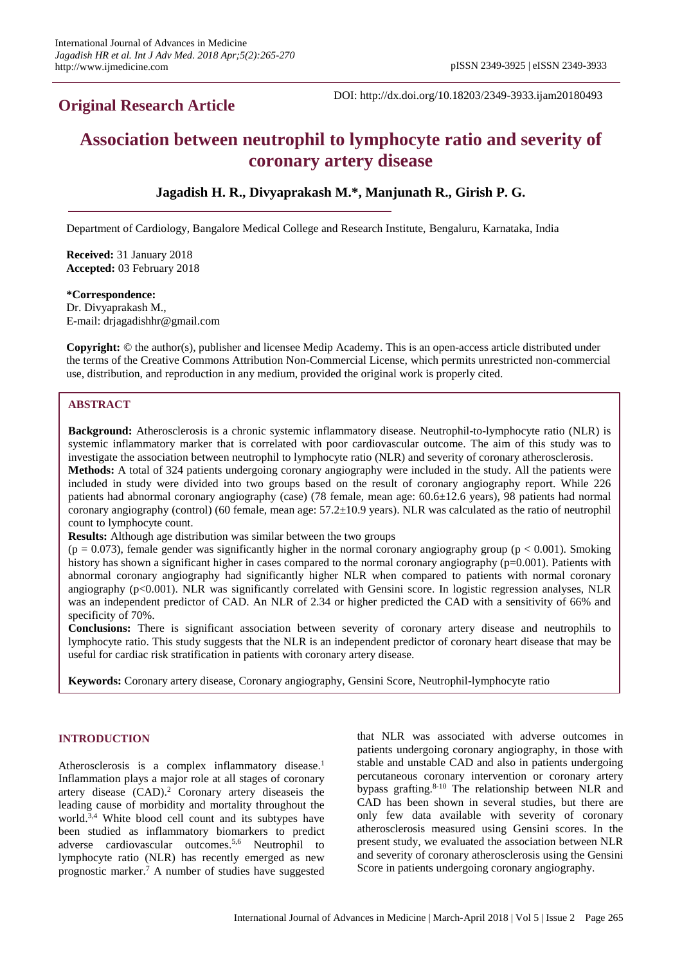# **Original Research Article**

DOI: http://dx.doi.org/10.18203/2349-3933.ijam20180493

# **Association between neutrophil to lymphocyte ratio and severity of coronary artery disease**

# **Jagadish H. R., Divyaprakash M.\*, Manjunath R., Girish P. G.**

Department of Cardiology, Bangalore Medical College and Research Institute, Bengaluru, Karnataka, India

**Received:** 31 January 2018 **Accepted:** 03 February 2018

#### **\*Correspondence:**

Dr. Divyaprakash M., E-mail: drjagadishhr@gmail.com

**Copyright:** © the author(s), publisher and licensee Medip Academy. This is an open-access article distributed under the terms of the Creative Commons Attribution Non-Commercial License, which permits unrestricted non-commercial use, distribution, and reproduction in any medium, provided the original work is properly cited.

# **ABSTRACT**

**Background:** Atherosclerosis is a chronic systemic inflammatory disease. Neutrophil-to-lymphocyte ratio (NLR) is systemic inflammatory marker that is correlated with poor cardiovascular outcome. The aim of this study was to investigate the association between neutrophil to lymphocyte ratio (NLR) and severity of coronary atherosclerosis. **Methods:** A total of 324 patients undergoing coronary angiography were included in the study. All the patients were included in study were divided into two groups based on the result of coronary angiography report. While 226 patients had abnormal coronary angiography (case) (78 female, mean age: 60.6±12.6 years), 98 patients had normal coronary angiography (control) (60 female, mean age:  $57.2 \pm 10.9$  years). NLR was calculated as the ratio of neutrophil count to lymphocyte count.

**Results:** Although age distribution was similar between the two groups

 $(p = 0.073)$ , female gender was significantly higher in the normal coronary angiography group  $(p < 0.001)$ . Smoking history has shown a significant higher in cases compared to the normal coronary angiography (p=0.001). Patients with abnormal coronary angiography had significantly higher NLR when compared to patients with normal coronary angiography (p<0.001). NLR was significantly correlated with Gensini score. In logistic regression analyses, NLR was an independent predictor of CAD. An NLR of 2.34 or higher predicted the CAD with a sensitivity of 66% and specificity of 70%.

**Conclusions:** There is significant association between severity of coronary artery disease and neutrophils to lymphocyte ratio. This study suggests that the NLR is an independent predictor of coronary heart disease that may be useful for cardiac risk stratification in patients with coronary artery disease.

**Keywords:** Coronary artery disease, Coronary angiography, Gensini Score, Neutrophil-lymphocyte ratio

# **INTRODUCTION**

Atherosclerosis is a complex inflammatory disease.<sup>1</sup> Inflammation plays a major role at all stages of coronary artery disease (CAD).<sup>2</sup> Coronary artery diseaseis the leading cause of morbidity and mortality throughout the world.<sup>3,4</sup> White blood cell count and its subtypes have been studied as inflammatory biomarkers to predict adverse cardiovascular outcomes. 5,6 Neutrophil to lymphocyte ratio (NLR) has recently emerged as new prognostic marker. <sup>7</sup> A number of studies have suggested

that NLR was associated with adverse outcomes in patients undergoing coronary angiography, in those with stable and unstable CAD and also in patients undergoing percutaneous coronary intervention or coronary artery bypass grafting. 8-10 The relationship between NLR and CAD has been shown in several studies, but there are only few data available with severity of coronary atherosclerosis measured using Gensini scores. In the present study, we evaluated the association between NLR and severity of coronary atherosclerosis using the Gensini Score in patients undergoing coronary angiography.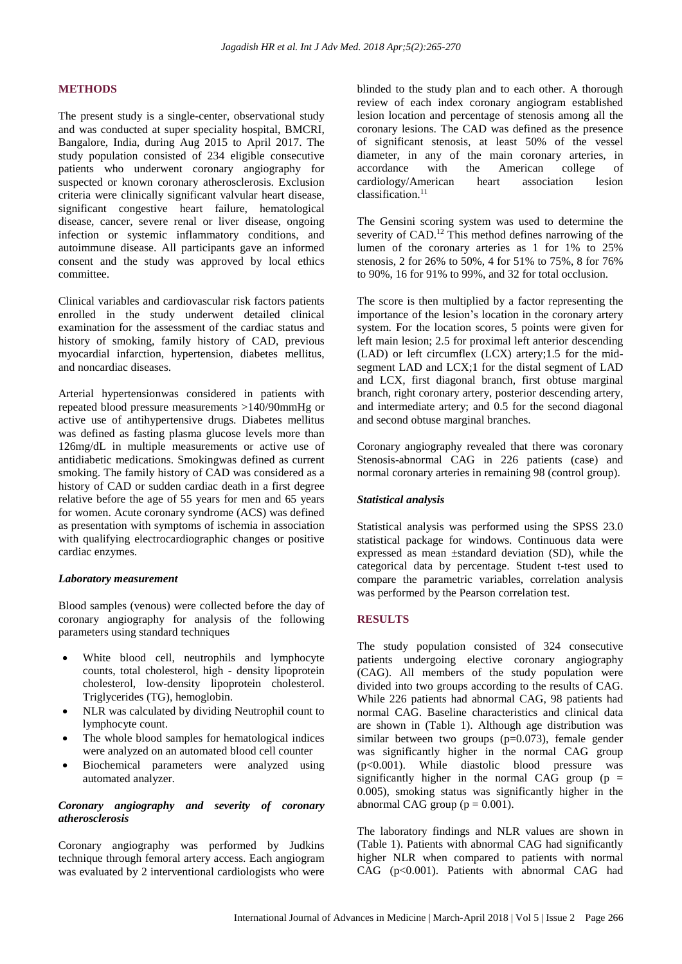# **METHODS**

The present study is a single-center, observational study and was conducted at super speciality hospital, BMCRI, Bangalore, India, during Aug 2015 to April 2017. The study population consisted of 234 eligible consecutive patients who underwent coronary angiography for suspected or known coronary atherosclerosis. Exclusion criteria were clinically significant valvular heart disease, significant congestive heart failure, hematological disease, cancer, severe renal or liver disease, ongoing infection or systemic inflammatory conditions, and autoimmune disease. All participants gave an informed consent and the study was approved by local ethics committee.

Clinical variables and cardiovascular risk factors patients enrolled in the study underwent detailed clinical examination for the assessment of the cardiac status and history of smoking, family history of CAD, previous myocardial infarction, hypertension, diabetes mellitus, and noncardiac diseases.

Arterial hypertensionwas considered in patients with repeated blood pressure measurements >140/90mmHg or active use of antihypertensive drugs. Diabetes mellitus was defined as fasting plasma glucose levels more than 126mg/dL in multiple measurements or active use of antidiabetic medications. Smokingwas defined as current smoking. The family history of CAD was considered as a history of CAD or sudden cardiac death in a first degree relative before the age of 55 years for men and 65 years for women. Acute coronary syndrome (ACS) was defined as presentation with symptoms of ischemia in association with qualifying electrocardiographic changes or positive cardiac enzymes.

#### *Laboratory measurement*

Blood samples (venous) were collected before the day of coronary angiography for analysis of the following parameters using standard techniques

- White blood cell, neutrophils and lymphocyte counts, total cholesterol, high - density lipoprotein cholesterol, low-density lipoprotein cholesterol. Triglycerides (TG), hemoglobin.
- NLR was calculated by dividing Neutrophil count to lymphocyte count.
- The whole blood samples for hematological indices were analyzed on an automated blood cell counter
- Biochemical parameters were analyzed using automated analyzer.

#### *Coronary angiography and severity of coronary atherosclerosis*

Coronary angiography was performed by Judkins technique through femoral artery access. Each angiogram was evaluated by 2 interventional cardiologists who were blinded to the study plan and to each other. A thorough review of each index coronary angiogram established lesion location and percentage of stenosis among all the coronary lesions. The CAD was defined as the presence of significant stenosis, at least 50% of the vessel diameter, in any of the main coronary arteries, in accordance with the American college of cardiology/American heart association lesion  $classification<sup>11</sup>$ 

The Gensini scoring system was used to determine the severity of CAD.<sup>12</sup> This method defines narrowing of the lumen of the coronary arteries as 1 for 1% to 25% stenosis, 2 for 26% to 50%, 4 for 51% to 75%, 8 for 76% to 90%, 16 for 91% to 99%, and 32 for total occlusion.

The score is then multiplied by a factor representing the importance of the lesion's location in the coronary artery system. For the location scores, 5 points were given for left main lesion; 2.5 for proximal left anterior descending (LAD) or left circumflex (LCX) artery;1.5 for the midsegment LAD and LCX;1 for the distal segment of LAD and LCX, first diagonal branch, first obtuse marginal branch, right coronary artery, posterior descending artery, and intermediate artery; and 0.5 for the second diagonal and second obtuse marginal branches.

Coronary angiography revealed that there was coronary Stenosis-abnormal CAG in 226 patients (case) and normal coronary arteries in remaining 98 (control group).

# *Statistical analysis*

Statistical analysis was performed using the SPSS 23.0 statistical package for windows. Continuous data were expressed as mean ±standard deviation (SD), while the categorical data by percentage. Student t-test used to compare the parametric variables, correlation analysis was performed by the Pearson correlation test.

# **RESULTS**

The study population consisted of 324 consecutive patients undergoing elective coronary angiography (CAG). All members of the study population were divided into two groups according to the results of CAG. While 226 patients had abnormal CAG, 98 patients had normal CAG. Baseline characteristics and clinical data are shown in (Table 1). Although age distribution was similar between two groups  $(p=0.073)$ , female gender was significantly higher in the normal CAG group (p<0.001). While diastolic blood pressure was significantly higher in the normal CAG group ( $p =$ 0.005), smoking status was significantly higher in the abnormal CAG group ( $p = 0.001$ ).

The laboratory findings and NLR values are shown in (Table 1). Patients with abnormal CAG had significantly higher NLR when compared to patients with normal CAG (p<0.001). Patients with abnormal CAG had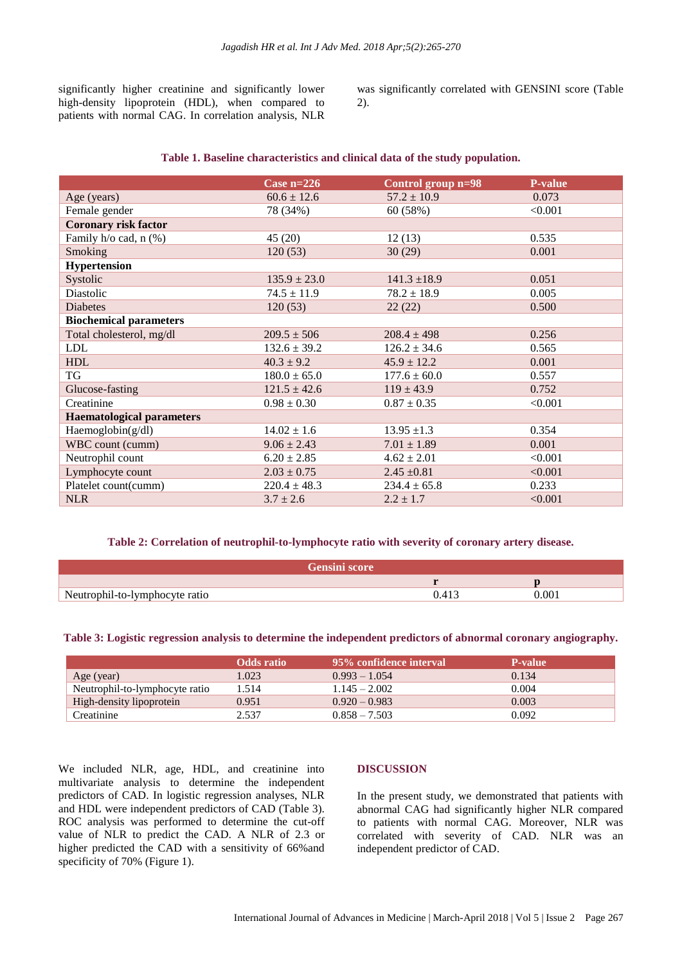significantly higher creatinine and significantly lower high-density lipoprotein (HDL), when compared to patients with normal CAG. In correlation analysis, NLR was significantly correlated with GENSINI score (Table 2).

#### **Table 1. Baseline characteristics and clinical data of the study population.**

| Case $n=226$     | Control group n=98 | P-value |
|------------------|--------------------|---------|
| $60.6 \pm 12.6$  | $57.2 \pm 10.9$    | 0.073   |
| 78 (34%)         | 60 (58%)           | < 0.001 |
|                  |                    |         |
| 45(20)           | 12(13)             | 0.535   |
| 120(53)          | 30(29)             | 0.001   |
|                  |                    |         |
| $135.9 \pm 23.0$ | $141.3 \pm 18.9$   | 0.051   |
| $74.5 \pm 11.9$  | $78.2 \pm 18.9$    | 0.005   |
| 120(53)          | 22(22)             | 0.500   |
|                  |                    |         |
| $209.5 \pm 506$  | $208.4 \pm 498$    | 0.256   |
| $132.6 \pm 39.2$ | $126.2 \pm 34.6$   | 0.565   |
| $40.3 \pm 9.2$   | $45.9 \pm 12.2$    | 0.001   |
| $180.0 \pm 65.0$ | $177.6 \pm 60.0$   | 0.557   |
| $121.5 \pm 42.6$ | $119 \pm 43.9$     | 0.752   |
| $0.98 \pm 0.30$  | $0.87 \pm 0.35$    | < 0.001 |
|                  |                    |         |
| $14.02 \pm 1.6$  | $13.95 \pm 1.3$    | 0.354   |
| $9.06 \pm 2.43$  | $7.01 \pm 1.89$    | 0.001   |
| $6.20 \pm 2.85$  | $4.62 \pm 2.01$    | < 0.001 |
| $2.03 \pm 0.75$  | $2.45 \pm 0.81$    | < 0.001 |
| $220.4 \pm 48.3$ | $234.4 \pm 65.8$   | 0.233   |
| $3.7 \pm 2.6$    | $2.2 \pm 1.7$      | < 0.001 |
|                  |                    |         |

#### **Table 2: Correlation of neutrophil-to-lymphocyte ratio with severity of coronary artery disease.**

| Gensini score                  |       |  |
|--------------------------------|-------|--|
|                                |       |  |
| Neutrophil-to-lymphocyte ratio | 0.001 |  |

**Table 3: Logistic regression analysis to determine the independent predictors of abnormal coronary angiography.**

|                                | <b>Odds</b> ratio | 95% confidence interval | <b>P-value</b> |
|--------------------------------|-------------------|-------------------------|----------------|
| Age (year)                     | 1.023             | $0.993 - 1.054$         | 0.134          |
| Neutrophil-to-lymphocyte ratio | 1.514             | $1.145 - 2.002$         | 0.004          |
| High-density lipoprotein       | 0.951             | $0.920 - 0.983$         | 0.003          |
| Creatinine                     | 2.537             | $0.858 - 7.503$         | 0.092          |

We included NLR, age, HDL, and creatinine into multivariate analysis to determine the independent predictors of CAD. In logistic regression analyses, NLR and HDL were independent predictors of CAD (Table 3). ROC analysis was performed to determine the cut-off value of NLR to predict the CAD. A NLR of 2.3 or higher predicted the CAD with a sensitivity of 66%and specificity of 70% (Figure 1).

#### **DISCUSSION**

In the present study, we demonstrated that patients with abnormal CAG had significantly higher NLR compared to patients with normal CAG. Moreover, NLR was correlated with severity of CAD. NLR was an independent predictor of CAD.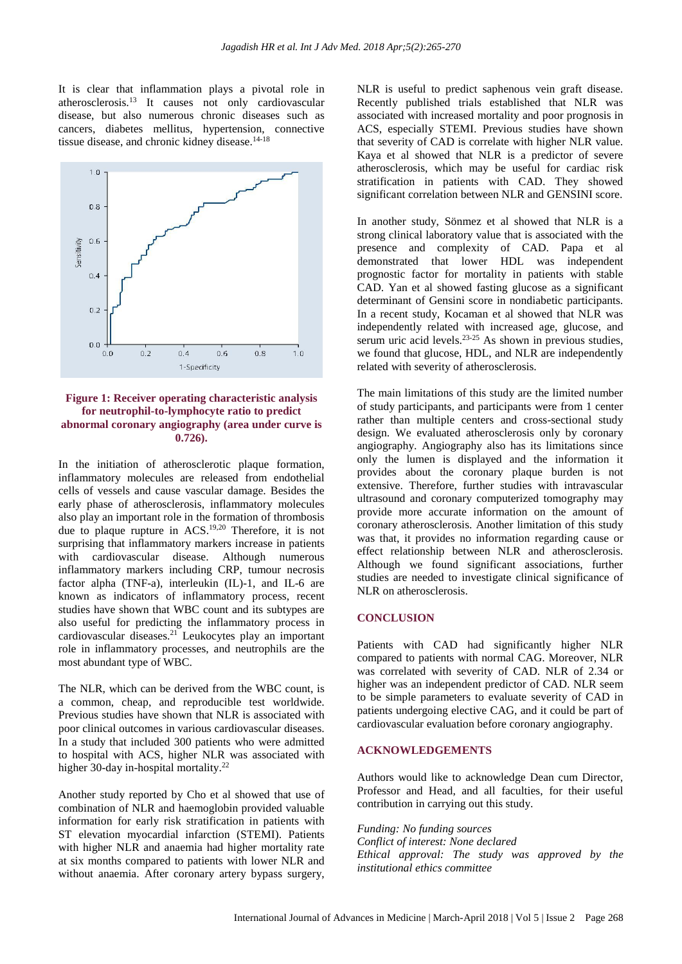It is clear that inflammation plays a pivotal role in atherosclerosis.<sup>13</sup> It causes not only cardiovascular disease, but also numerous chronic diseases such as cancers, diabetes mellitus, hypertension, connective tissue disease, and chronic kidney disease.<sup>14-18</sup>



**Figure 1: Receiver operating characteristic analysis for neutrophil-to-lymphocyte ratio to predict abnormal coronary angiography (area under curve is 0.726).**

In the initiation of atherosclerotic plaque formation, inflammatory molecules are released from endothelial cells of vessels and cause vascular damage. Besides the early phase of atherosclerosis, inflammatory molecules also play an important role in the formation of thrombosis due to plaque rupture in ACS.19,20 Therefore, it is not surprising that inflammatory markers increase in patients with cardiovascular disease. Although numerous inflammatory markers including CRP, tumour necrosis factor alpha (TNF-a), interleukin (IL)-1, and IL-6 are known as indicators of inflammatory process, recent studies have shown that WBC count and its subtypes are also useful for predicting the inflammatory process in cardiovascular diseases. <sup>21</sup> Leukocytes play an important role in inflammatory processes, and neutrophils are the most abundant type of WBC.

The NLR, which can be derived from the WBC count, is a common, cheap, and reproducible test worldwide. Previous studies have shown that NLR is associated with poor clinical outcomes in various cardiovascular diseases. In a study that included 300 patients who were admitted to hospital with ACS, higher NLR was associated with higher 30-day in-hospital mortality.<sup>22</sup>

Another study reported by Cho et al showed that use of combination of NLR and haemoglobin provided valuable information for early risk stratification in patients with ST elevation myocardial infarction (STEMI). Patients with higher NLR and anaemia had higher mortality rate at six months compared to patients with lower NLR and without anaemia. After coronary artery bypass surgery,

NLR is useful to predict saphenous vein graft disease. Recently published trials established that NLR was associated with increased mortality and poor prognosis in ACS, especially STEMI. Previous studies have shown that severity of CAD is correlate with higher NLR value. Kaya et al showed that NLR is a predictor of severe atherosclerosis, which may be useful for cardiac risk stratification in patients with CAD. They showed significant correlation between NLR and GENSINI score.

In another study, Sönmez et al showed that NLR is a strong clinical laboratory value that is associated with the presence and complexity of CAD. Papa et al demonstrated that lower HDL was independent prognostic factor for mortality in patients with stable CAD. Yan et al showed fasting glucose as a significant determinant of Gensini score in nondiabetic participants. In a recent study, Kocaman et al showed that NLR was independently related with increased age, glucose, and serum uric acid levels. $23-25$  As shown in previous studies, we found that glucose, HDL, and NLR are independently related with severity of atherosclerosis.

The main limitations of this study are the limited number of study participants, and participants were from 1 center rather than multiple centers and cross-sectional study design. We evaluated atherosclerosis only by coronary angiography. Angiography also has its limitations since only the lumen is displayed and the information it provides about the coronary plaque burden is not extensive. Therefore, further studies with intravascular ultrasound and coronary computerized tomography may provide more accurate information on the amount of coronary atherosclerosis. Another limitation of this study was that, it provides no information regarding cause or effect relationship between NLR and atherosclerosis. Although we found significant associations, further studies are needed to investigate clinical significance of NLR on atherosclerosis.

#### **CONCLUSION**

Patients with CAD had significantly higher NLR compared to patients with normal CAG. Moreover, NLR was correlated with severity of CAD. NLR of 2.34 or higher was an independent predictor of CAD. NLR seem to be simple parameters to evaluate severity of CAD in patients undergoing elective CAG, and it could be part of cardiovascular evaluation before coronary angiography.

#### **ACKNOWLEDGEMENTS**

Authors would like to acknowledge Dean cum Director, Professor and Head, and all faculties, for their useful contribution in carrying out this study.

*Funding: No funding sources Conflict of interest: None declared Ethical approval: The study was approved by the institutional ethics committee*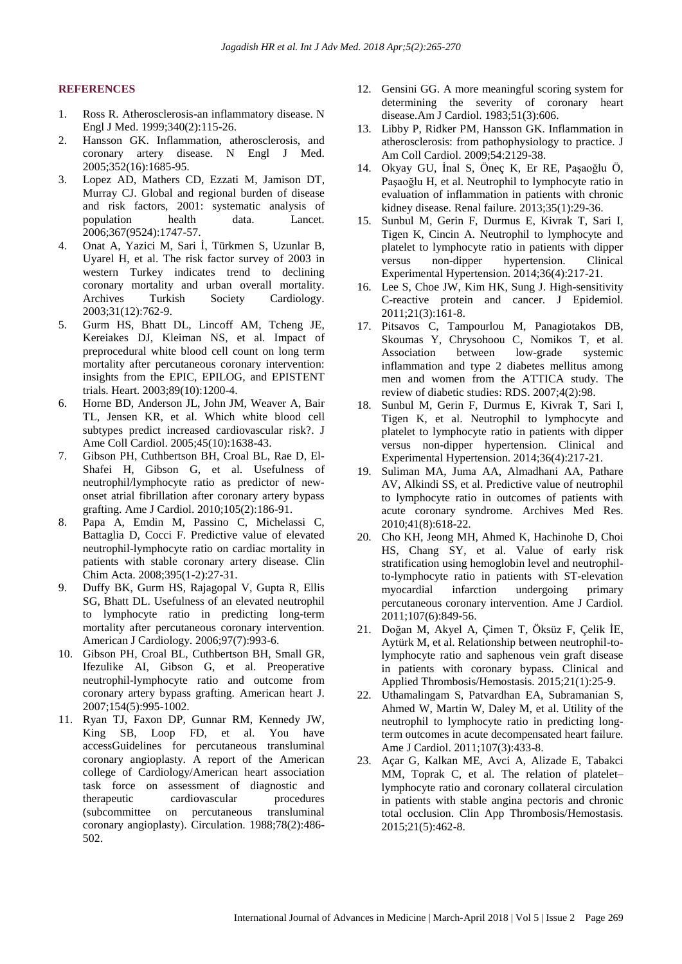#### **REFERENCES**

- 1. Ross R. Atherosclerosis-an inflammatory disease. N Engl J Med. 1999;340(2):115-26.
- 2. Hansson GK. Inflammation, atherosclerosis, and coronary artery disease. N Engl J Med. 2005;352(16):1685-95.
- 3. Lopez AD, Mathers CD, Ezzati M, Jamison DT, Murray CJ. Global and regional burden of disease and risk factors, 2001: systematic analysis of population health data. Lancet. 2006;367(9524):1747-57.
- 4. Onat A, Yazici M, Sari İ, Türkmen S, Uzunlar B, Uyarel H, et al. The risk factor survey of 2003 in western Turkey indicates trend to declining coronary mortality and urban overall mortality. Archives Turkish Society Cardiology. 2003;31(12):762-9.
- 5. Gurm HS, Bhatt DL, Lincoff AM, Tcheng JE, Kereiakes DJ, Kleiman NS, et al. Impact of preprocedural white blood cell count on long term mortality after percutaneous coronary intervention: insights from the EPIC, EPILOG, and EPISTENT trials. Heart. 2003;89(10):1200-4.
- 6. Horne BD, Anderson JL, John JM, Weaver A, Bair TL, Jensen KR, et al. Which white blood cell subtypes predict increased cardiovascular risk?. J Ame Coll Cardiol. 2005;45(10):1638-43.
- 7. Gibson PH, Cuthbertson BH, Croal BL, Rae D, El-Shafei H, Gibson G, et al. Usefulness of neutrophil/lymphocyte ratio as predictor of newonset atrial fibrillation after coronary artery bypass grafting. Ame J Cardiol. 2010;105(2):186-91.
- 8. Papa A, Emdin M, Passino C, Michelassi C, Battaglia D, Cocci F. Predictive value of elevated neutrophil-lymphocyte ratio on cardiac mortality in patients with stable coronary artery disease. Clin Chim Acta. 2008;395(1-2):27-31.
- 9. Duffy BK, Gurm HS, Rajagopal V, Gupta R, Ellis SG, Bhatt DL. Usefulness of an elevated neutrophil to lymphocyte ratio in predicting long-term mortality after percutaneous coronary intervention. American J Cardiology. 2006;97(7):993-6.
- 10. Gibson PH, Croal BL, Cuthbertson BH, Small GR, Ifezulike AI, Gibson G, et al. Preoperative neutrophil-lymphocyte ratio and outcome from coronary artery bypass grafting. American heart J. 2007;154(5):995-1002.
- 11. Ryan TJ, Faxon DP, Gunnar RM, Kennedy JW, King SB, Loop FD, et al. You have accessGuidelines for percutaneous transluminal coronary angioplasty. A report of the American college of Cardiology/American heart association task force on assessment of diagnostic and therapeutic cardiovascular procedures (subcommittee on percutaneous transluminal coronary angioplasty). Circulation. 1988;78(2):486- 502.
- 12. Gensini GG. A more meaningful scoring system for determining the severity of coronary heart disease.Am J Cardiol. 1983;51(3):606.
- 13. Libby P, Ridker PM, Hansson GK. Inflammation in atherosclerosis: from pathophysiology to practice. J Am Coll Cardiol. 2009;54:2129-38.
- 14. Okyay GU, İnal S, Öneç K, Er RE, Paşaoğlu Ö, Paşaoğlu H, et al. Neutrophil to lymphocyte ratio in evaluation of inflammation in patients with chronic kidney disease. Renal failure. 2013;35(1):29-36.
- 15. Sunbul M, Gerin F, Durmus E, Kivrak T, Sari I, Tigen K, Cincin A. Neutrophil to lymphocyte and platelet to lymphocyte ratio in patients with dipper versus non-dipper hypertension. Clinical Experimental Hypertension. 2014;36(4):217-21.
- 16. Lee S, Choe JW, Kim HK, Sung J. High-sensitivity C-reactive protein and cancer. J Epidemiol. 2011;21(3):161-8.
- 17. Pitsavos C, Tampourlou M, Panagiotakos DB, Skoumas Y, Chrysohoou C, Nomikos T, et al. Association between low-grade systemic inflammation and type 2 diabetes mellitus among men and women from the ATTICA study. The review of diabetic studies: RDS. 2007;4(2):98.
- 18. Sunbul M, Gerin F, Durmus E, Kivrak T, Sari I, Tigen K, et al. Neutrophil to lymphocyte and platelet to lymphocyte ratio in patients with dipper versus non-dipper hypertension. Clinical and Experimental Hypertension. 2014;36(4):217-21.
- 19. Suliman MA, Juma AA, Almadhani AA, Pathare AV, Alkindi SS, et al. Predictive value of neutrophil to lymphocyte ratio in outcomes of patients with acute coronary syndrome. Archives Med Res. 2010;41(8):618-22.
- 20. Cho KH, Jeong MH, Ahmed K, Hachinohe D, Choi HS, Chang SY, et al. Value of early risk stratification using hemoglobin level and neutrophilto-lymphocyte ratio in patients with ST-elevation myocardial infarction undergoing primary percutaneous coronary intervention. Ame J Cardiol. 2011;107(6):849-56.
- 21. Doğan M, Akyel A, Çimen T, Öksüz F, Çelik İE, Aytürk M, et al. Relationship between neutrophil-tolymphocyte ratio and saphenous vein graft disease in patients with coronary bypass. Clinical and Applied Thrombosis/Hemostasis. 2015;21(1):25-9.
- 22. Uthamalingam S, Patvardhan EA, Subramanian S, Ahmed W, Martin W, Daley M, et al. Utility of the neutrophil to lymphocyte ratio in predicting longterm outcomes in acute decompensated heart failure. Ame J Cardiol. 2011;107(3):433-8.
- 23. Açar G, Kalkan ME, Avci A, Alizade E, Tabakci MM, Toprak C, et al. The relation of platelet– lymphocyte ratio and coronary collateral circulation in patients with stable angina pectoris and chronic total occlusion. Clin App Thrombosis/Hemostasis. 2015;21(5):462-8.